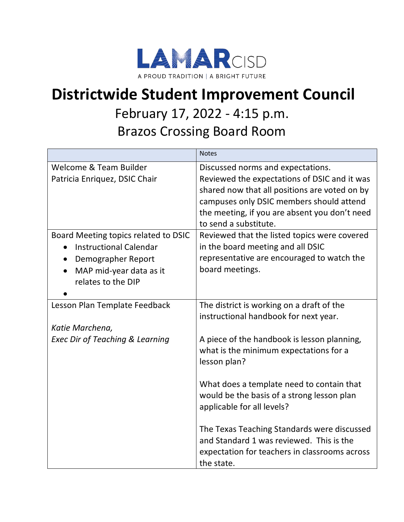

## **Districtwide Student Improvement Council**

## February 17, 2022 - 4:15 p.m.

Brazos Crossing Board Room

|                                            | <b>Notes</b>                                  |
|--------------------------------------------|-----------------------------------------------|
| Welcome & Team Builder                     | Discussed norms and expectations.             |
| Patricia Enriquez, DSIC Chair              | Reviewed the expectations of DSIC and it was  |
|                                            | shared now that all positions are voted on by |
|                                            | campuses only DSIC members should attend      |
|                                            | the meeting, if you are absent you don't need |
|                                            | to send a substitute.                         |
| Board Meeting topics related to DSIC       | Reviewed that the listed topics were covered  |
| <b>Instructional Calendar</b>              | in the board meeting and all DSIC             |
| Demographer Report<br>$\bullet$            | representative are encouraged to watch the    |
| MAP mid-year data as it                    | board meetings.                               |
| relates to the DIP                         |                                               |
|                                            |                                               |
| Lesson Plan Template Feedback              | The district is working on a draft of the     |
|                                            | instructional handbook for next year.         |
| Katie Marchena,                            |                                               |
| <b>Exec Dir of Teaching &amp; Learning</b> | A piece of the handbook is lesson planning,   |
|                                            | what is the minimum expectations for a        |
|                                            | lesson plan?                                  |
|                                            |                                               |
|                                            | What does a template need to contain that     |
|                                            | would be the basis of a strong lesson plan    |
|                                            | applicable for all levels?                    |
|                                            |                                               |
|                                            | The Texas Teaching Standards were discussed   |
|                                            | and Standard 1 was reviewed. This is the      |
|                                            | expectation for teachers in classrooms across |
|                                            | the state.                                    |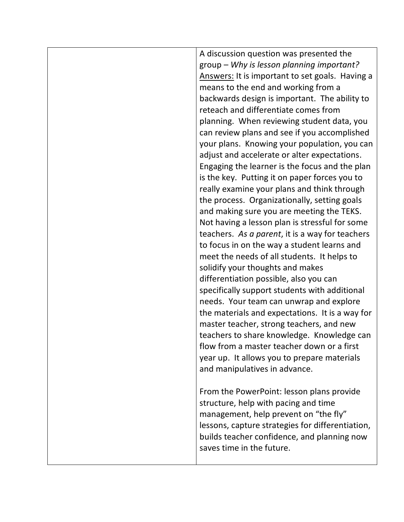| A discussion question was presented the          |
|--------------------------------------------------|
| group - Why is lesson planning important?        |
| Answers: It is important to set goals. Having a  |
| means to the end and working from a              |
| backwards design is important. The ability to    |
| reteach and differentiate comes from             |
| planning. When reviewing student data, you       |
| can review plans and see if you accomplished     |
| your plans. Knowing your population, you can     |
| adjust and accelerate or alter expectations.     |
| Engaging the learner is the focus and the plan   |
| is the key. Putting it on paper forces you to    |
| really examine your plans and think through      |
| the process. Organizationally, setting goals     |
| and making sure you are meeting the TEKS.        |
| Not having a lesson plan is stressful for some   |
| teachers. As a parent, it is a way for teachers  |
| to focus in on the way a student learns and      |
| meet the needs of all students. It helps to      |
| solidify your thoughts and makes                 |
| differentiation possible, also you can           |
| specifically support students with additional    |
| needs. Your team can unwrap and explore          |
| the materials and expectations. It is a way for  |
| master teacher, strong teachers, and new         |
| teachers to share knowledge. Knowledge can       |
| flow from a master teacher down or a first       |
| year up. It allows you to prepare materials      |
| and manipulatives in advance.                    |
|                                                  |
| From the PowerPoint: lesson plans provide        |
| structure, help with pacing and time             |
| management, help prevent on "the fly"            |
| lessons, capture strategies for differentiation, |
| builds teacher confidence, and planning now      |
| saves time in the future.                        |
|                                                  |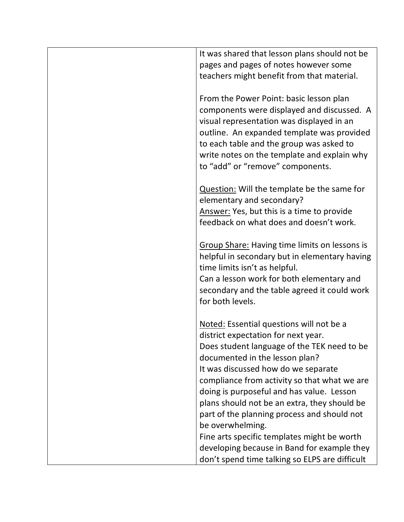| It was shared that lesson plans should not be                                       |
|-------------------------------------------------------------------------------------|
| pages and pages of notes however some                                               |
| teachers might benefit from that material.                                          |
|                                                                                     |
| From the Power Point: basic lesson plan                                             |
| components were displayed and discussed. A                                          |
| visual representation was displayed in an                                           |
| outline. An expanded template was provided                                          |
| to each table and the group was asked to                                            |
| write notes on the template and explain why                                         |
| to "add" or "remove" components.                                                    |
|                                                                                     |
| Question: Will the template be the same for                                         |
| elementary and secondary?                                                           |
| Answer: Yes, but this is a time to provide                                          |
| feedback on what does and doesn't work.                                             |
|                                                                                     |
| <b>Group Share: Having time limits on lessons is</b>                                |
| helpful in secondary but in elementary having                                       |
| time limits isn't as helpful.                                                       |
| Can a lesson work for both elementary and                                           |
| secondary and the table agreed it could work                                        |
| for both levels.                                                                    |
|                                                                                     |
| Noted: Essential questions will not be a                                            |
| district expectation for next year.                                                 |
| Does student language of the TEK need to be<br>documented in the lesson plan?       |
|                                                                                     |
| It was discussed how do we separate<br>compliance from activity so that what we are |
| doing is purposeful and has value. Lesson                                           |
| plans should not be an extra, they should be                                        |
| part of the planning process and should not                                         |
| be overwhelming.                                                                    |
| Fine arts specific templates might be worth                                         |
| developing because in Band for example they                                         |
| don't spend time talking so ELPS are difficult                                      |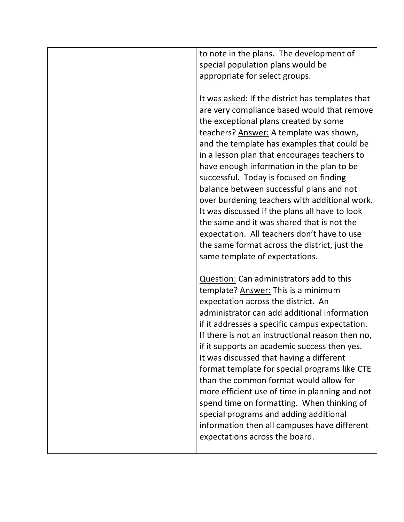| to note in the plans. The development of<br>special population plans would be             |
|-------------------------------------------------------------------------------------------|
| appropriate for select groups.                                                            |
|                                                                                           |
| It was asked: If the district has templates that                                          |
| are very compliance based would that remove                                               |
| the exceptional plans created by some                                                     |
| teachers? Answer: A template was shown,                                                   |
| and the template has examples that could be                                               |
| in a lesson plan that encourages teachers to                                              |
| have enough information in the plan to be                                                 |
| successful. Today is focused on finding                                                   |
| balance between successful plans and not<br>over burdening teachers with additional work. |
| It was discussed if the plans all have to look                                            |
| the same and it was shared that is not the                                                |
| expectation. All teachers don't have to use                                               |
| the same format across the district, just the                                             |
| same template of expectations.                                                            |
|                                                                                           |
| Question: Can administrators add to this                                                  |
| template? Answer: This is a minimum                                                       |
| expectation across the district. An                                                       |
| administrator can add additional information                                              |
| if it addresses a specific campus expectation.                                            |
| If there is not an instructional reason then no,                                          |
| if it supports an academic success then yes.                                              |
| It was discussed that having a different                                                  |
| format template for special programs like CTE                                             |
| than the common format would allow for<br>more efficient use of time in planning and not  |
| spend time on formatting. When thinking of                                                |
| special programs and adding additional                                                    |
| information then all campuses have different                                              |
| expectations across the board.                                                            |
|                                                                                           |